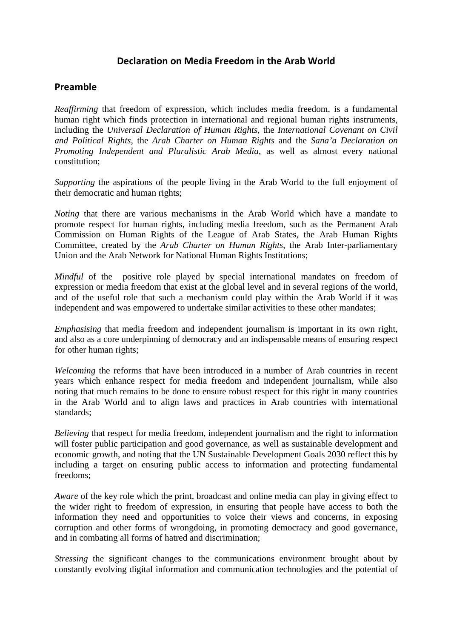# **Declaration on Media Freedom in the Arab World**

# **Preamble**

*Reaffirming* that freedom of expression, which includes media freedom, is a fundamental human right which finds protection in international and regional human rights instruments, including the *Universal Declaration of Human Rights*, the *International Covenant on Civil and Political Rights*, the *Arab Charter on Human Rights* and the *Sana'a Declaration on Promoting Independent and Pluralistic Arab Media*, as well as almost every national constitution;

*Supporting* the aspirations of the people living in the Arab World to the full enjoyment of their democratic and human rights;

*Noting* that there are various mechanisms in the Arab World which have a mandate to promote respect for human rights, including media freedom, such as the Permanent Arab Commission on Human Rights of the League of Arab States, the Arab Human Rights Committee, created by the *Arab Charter on Human Rights*, the Arab Inter-parliamentary Union and the Arab Network for National Human Rights Institutions;

*Mindful* of the positive role played by special international mandates on freedom of expression or media freedom that exist at the global level and in several regions of the world, and of the useful role that such a mechanism could play within the Arab World if it was independent and was empowered to undertake similar activities to these other mandates;

*Emphasising* that media freedom and independent journalism is important in its own right, and also as a core underpinning of democracy and an indispensable means of ensuring respect for other human rights;

*Welcoming* the reforms that have been introduced in a number of Arab countries in recent years which enhance respect for media freedom and independent journalism, while also noting that much remains to be done to ensure robust respect for this right in many countries in the Arab World and to align laws and practices in Arab countries with international standards;

*Believing* that respect for media freedom, independent journalism and the right to information will foster public participation and good governance, as well as sustainable development and economic growth, and noting that the UN Sustainable Development Goals 2030 reflect this by including a target on ensuring public access to information and protecting fundamental freedoms;

*Aware* of the key role which the print, broadcast and online media can play in giving effect to the wider right to freedom of expression, in ensuring that people have access to both the information they need and opportunities to voice their views and concerns, in exposing corruption and other forms of wrongdoing, in promoting democracy and good governance, and in combating all forms of hatred and discrimination;

*Stressing* the significant changes to the communications environment brought about by constantly evolving digital information and communication technologies and the potential of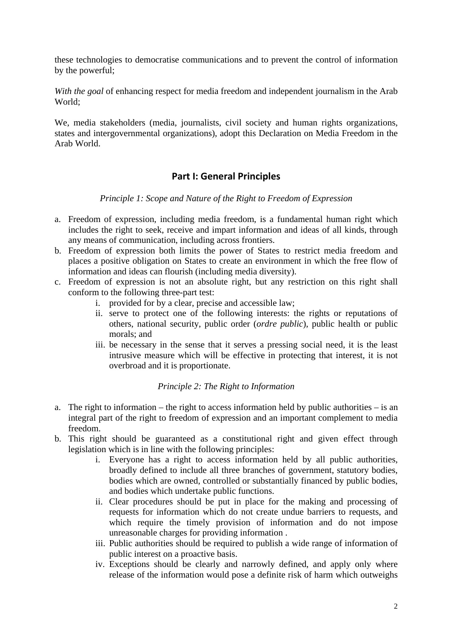these technologies to democratise communications and to prevent the control of information by the powerful;

*With the goal* of enhancing respect for media freedom and independent journalism in the Arab World;

We, media stakeholders (media, journalists, civil society and human rights organizations, states and intergovernmental organizations), adopt this Declaration on Media Freedom in the Arab World.

# **Part I: General Principles**

*Principle 1: Scope and Nature of the Right to Freedom of Expression* 

- a. Freedom of expression, including media freedom, is a fundamental human right which includes the right to seek, receive and impart information and ideas of all kinds, through any means of communication, including across frontiers.
- b. Freedom of expression both limits the power of States to restrict media freedom and places a positive obligation on States to create an environment in which the free flow of information and ideas can flourish (including media diversity).
- c. Freedom of expression is not an absolute right, but any restriction on this right shall conform to the following three-part test:
	- i. provided for by a clear, precise and accessible law;
	- ii. serve to protect one of the following interests: the rights or reputations of others, national security, public order (*ordre public*), public health or public morals; and
	- iii. be necessary in the sense that it serves a pressing social need, it is the least intrusive measure which will be effective in protecting that interest, it is not overbroad and it is proportionate.

## *Principle 2: The Right to Information*

- a. The right to information the right to access information held by public authorities is an integral part of the right to freedom of expression and an important complement to media freedom.
- b. This right should be guaranteed as a constitutional right and given effect through legislation which is in line with the following principles:
	- i. Everyone has a right to access information held by all public authorities, broadly defined to include all three branches of government, statutory bodies, bodies which are owned, controlled or substantially financed by public bodies, and bodies which undertake public functions.
	- ii. Clear procedures should be put in place for the making and processing of requests for information which do not create undue barriers to requests, and which require the timely provision of information and do not impose unreasonable charges for providing information .
	- iii. Public authorities should be required to publish a wide range of information of public interest on a proactive basis.
	- iv. Exceptions should be clearly and narrowly defined, and apply only where release of the information would pose a definite risk of harm which outweighs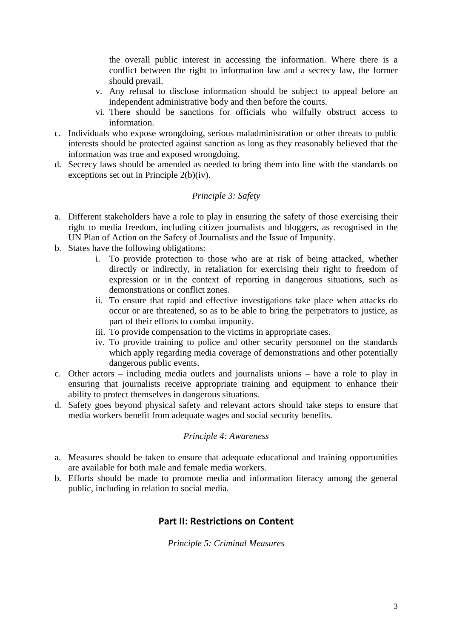the overall public interest in accessing the information. Where there is a conflict between the right to information law and a secrecy law, the former should prevail.

- v. Any refusal to disclose information should be subject to appeal before an independent administrative body and then before the courts.
- vi. There should be sanctions for officials who wilfully obstruct access to information.
- c. Individuals who expose wrongdoing, serious maladministration or other threats to public interests should be protected against sanction as long as they reasonably believed that the information was true and exposed wrongdoing.
- d. Secrecy laws should be amended as needed to bring them into line with the standards on exceptions set out in Principle 2(b)(iv).

#### *Principle 3: Safety*

- a. Different stakeholders have a role to play in ensuring the safety of those exercising their right to media freedom, including citizen journalists and bloggers, as recognised in the UN Plan of Action on the Safety of Journalists and the Issue of Impunity.
- b. States have the following obligations:
	- i. To provide protection to those who are at risk of being attacked, whether directly or indirectly, in retaliation for exercising their right to freedom of expression or in the context of reporting in dangerous situations, such as demonstrations or conflict zones.
	- ii. To ensure that rapid and effective investigations take place when attacks do occur or are threatened, so as to be able to bring the perpetrators to justice, as part of their efforts to combat impunity.
	- iii. To provide compensation to the victims in appropriate cases.
	- iv. To provide training to police and other security personnel on the standards which apply regarding media coverage of demonstrations and other potentially dangerous public events.
- c. Other actors including media outlets and journalists unions have a role to play in ensuring that journalists receive appropriate training and equipment to enhance their ability to protect themselves in dangerous situations.
- d. Safety goes beyond physical safety and relevant actors should take steps to ensure that media workers benefit from adequate wages and social security benefits.

#### *Principle 4: Awareness*

- a. Measures should be taken to ensure that adequate educational and training opportunities are available for both male and female media workers.
- b. Efforts should be made to promote media and information literacy among the general public, including in relation to social media.

## **Part II: Restrictions on Content**

#### *Principle 5: Criminal Measures*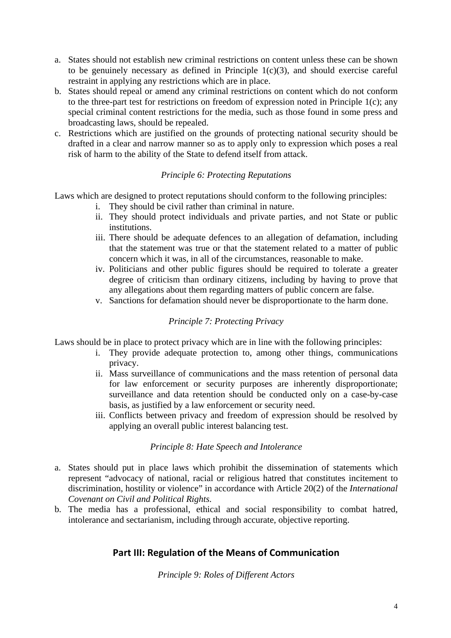- a. States should not establish new criminal restrictions on content unless these can be shown to be genuinely necessary as defined in Principle  $1(c)(3)$ , and should exercise careful restraint in applying any restrictions which are in place.
- b. States should repeal or amend any criminal restrictions on content which do not conform to the three-part test for restrictions on freedom of expression noted in Principle 1(c); any special criminal content restrictions for the media, such as those found in some press and broadcasting laws, should be repealed.
- c. Restrictions which are justified on the grounds of protecting national security should be drafted in a clear and narrow manner so as to apply only to expression which poses a real risk of harm to the ability of the State to defend itself from attack.

## *Principle 6: Protecting Reputations*

Laws which are designed to protect reputations should conform to the following principles:

- i. They should be civil rather than criminal in nature.
- ii. They should protect individuals and private parties, and not State or public institutions.
- iii. There should be adequate defences to an allegation of defamation, including that the statement was true or that the statement related to a matter of public concern which it was, in all of the circumstances, reasonable to make.
- iv. Politicians and other public figures should be required to tolerate a greater degree of criticism than ordinary citizens, including by having to prove that any allegations about them regarding matters of public concern are false.
- v. Sanctions for defamation should never be disproportionate to the harm done.

## *Principle 7: Protecting Privacy*

Laws should be in place to protect privacy which are in line with the following principles:

- i. They provide adequate protection to, among other things, communications privacy.
- ii. Mass surveillance of communications and the mass retention of personal data for law enforcement or security purposes are inherently disproportionate; surveillance and data retention should be conducted only on a case-by-case basis, as justified by a law enforcement or security need.
- iii. Conflicts between privacy and freedom of expression should be resolved by applying an overall public interest balancing test.

## *Principle 8: Hate Speech and Intolerance*

- a. States should put in place laws which prohibit the dissemination of statements which represent "advocacy of national, racial or religious hatred that constitutes incitement to discrimination, hostility or violence" in accordance with Article 20(2) of the *International Covenant on Civil and Political Rights*.
- b. The media has a professional, ethical and social responsibility to combat hatred, intolerance and sectarianism, including through accurate, objective reporting.

# **Part III: Regulation of the Means of Communication**

*Principle 9: Roles of Different Actors*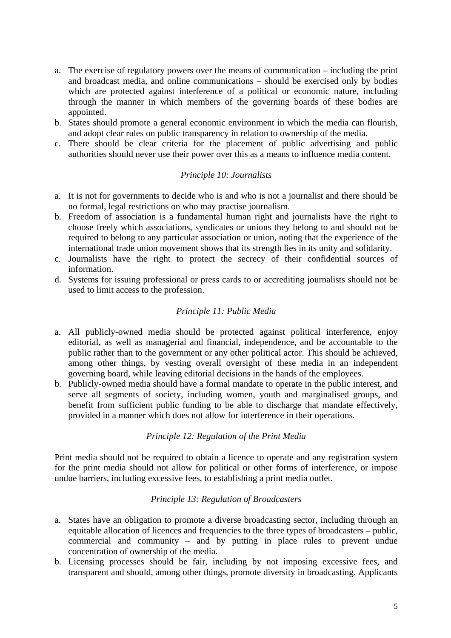- a. The exercise of regulatory powers over the means of communication including the print and broadcast media, and online communications – should be exercised only by bodies which are protected against interference of a political or economic nature, including through the manner in which members of the governing boards of these bodies are appointed.
- b. States should promote a general economic environment in which the media can flourish, and adopt clear rules on public transparency in relation to ownership of the media.
- c. There should be clear criteria for the placement of public advertising and public authorities should never use their power over this as a means to influence media content.

#### *Principle 10: Journalists*

- a. It is not for governments to decide who is and who is not a journalist and there should be no formal, legal restrictions on who may practise journalism.
- b. Freedom of association is a fundamental human right and journalists have the right to choose freely which associations, syndicates or unions they belong to and should not be required to belong to any particular association or union, noting that the experience of the international trade union movement shows that its strength lies in its unity and solidarity.
- c. Journalists have the right to protect the secrecy of their confidential sources of information.
- d. Systems for issuing professional or press cards to or accrediting journalists should not be used to limit access to the profession.

#### *Principle 11: Public Media*

- a. All publicly-owned media should be protected against political interference, enjoy editorial, as well as managerial and financial, independence, and be accountable to the public rather than to the government or any other political actor. This should be achieved, among other things, by vesting overall oversight of these media in an independent governing board, while leaving editorial decisions in the hands of the employees.
- b. Publicly-owned media should have a formal mandate to operate in the public interest, and serve all segments of society, including women, youth and marginalised groups, and benefit from sufficient public funding to be able to discharge that mandate effectively, provided in a manner which does not allow for interference in their operations.

## *Principle 12: Regulation of the Print Media*

Print media should not be required to obtain a licence to operate and any registration system for the print media should not allow for political or other forms of interference, or impose undue barriers, including excessive fees, to establishing a print media outlet.

#### *Principle 13: Regulation of Broadcasters*

- a. States have an obligation to promote a diverse broadcasting sector, including through an equitable allocation of licences and frequencies to the three types of broadcasters – public, commercial and community – and by putting in place rules to prevent undue concentration of ownership of the media.
- b. Licensing processes should be fair, including by not imposing excessive fees, and transparent and should, among other things, promote diversity in broadcasting. Applicants